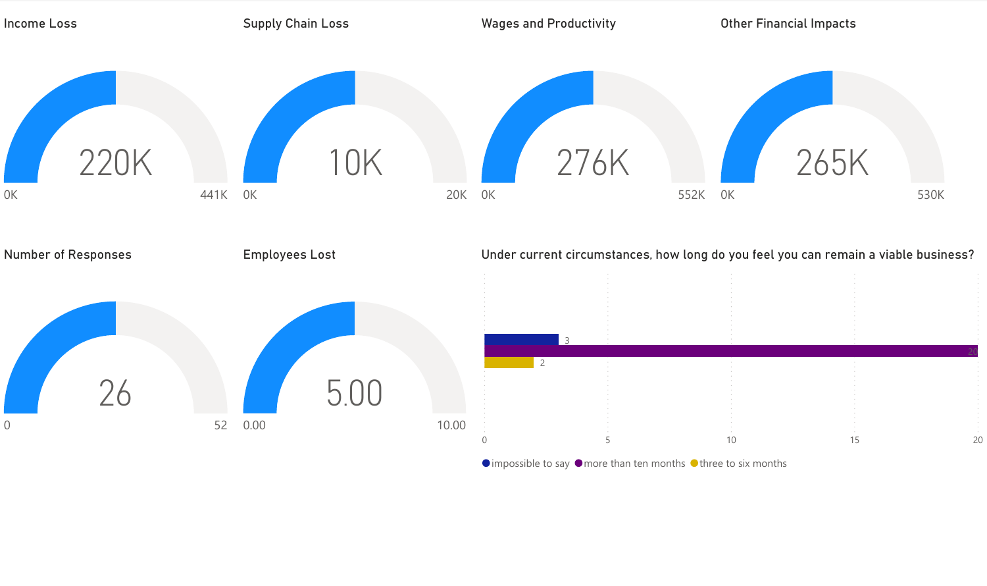

 $\bullet$  impossible to say  $\bullet$  more than ten months  $\bullet$  three to six months